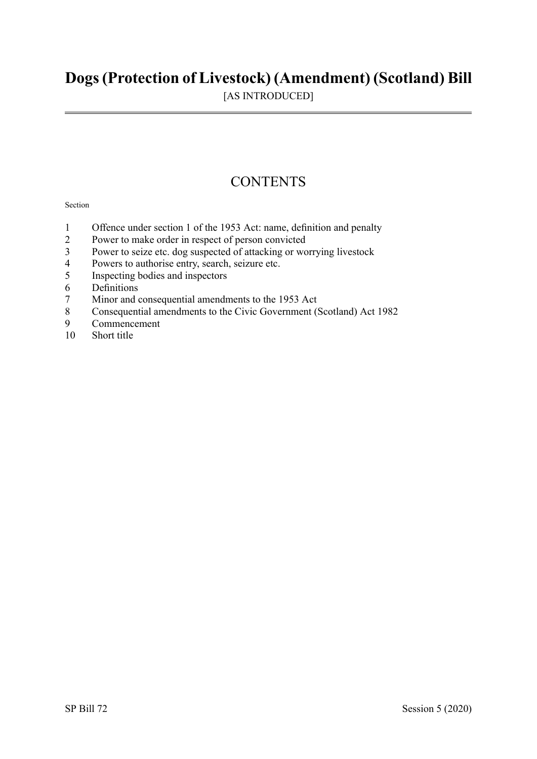## **Dogs(Protection of Livestock) (Amendment) (Scotland) Bill**

[AS INTRODUCED]

## **CONTENTS**

#### Section

- 1 Offence under section 1 of the 1953 Act: name, definition and penalty
- 2 Power to make order in respect of person convicted<br>3 Power to seize etc. dog suspected of attacking or wo
- 3 Power to seize etc. dog suspected of attacking or worrying livestock<br>4 Powers to authorise entry search seizure etc
- Powers to authorise entry, search, seizure etc.
- 5 Inspecting bodies and inspectors
- 6 Definitions
- 7 Minor and consequential amendments to the 1953 Act<br>8 Consequential amendments to the Civic Government ()
- 8 Consequential amendments to the Civic Government (Scotland) Act 1982<br>9 Commencement
- 9 Commencement<br>10 Short title
- Short title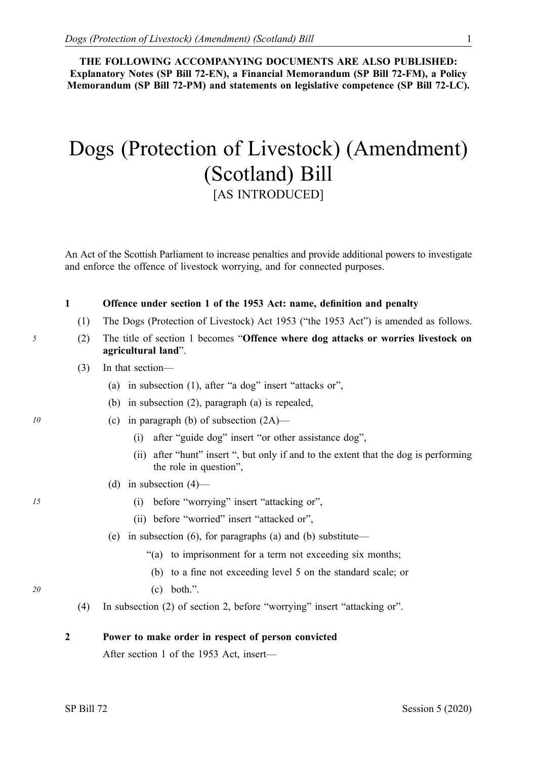**THE FOLLOWING ACCOMPANYING DOCUMENTS ARE ALSO PUBLISHED: Explanatory Notes (SP Bill 72-EN), a Financial Memorandum (SP Bill 72-FM), a Policy Memorandum (SP Bill 72-PM) and statements on legislative competence (SP Bill 72-LC).** 

# Dogs (Protection of Livestock) (Amendment) (Scotland) Bill [AS INTRODUCED]

An Act of the Scottish Parliament to increase penalties and provide additional powers to investigate and enforce the offence of livestock worrying, and for connected purposes.

#### **1 Offence under section 1 of the 1953 Act: name, definition and penalty**

- (1) The Dogs (Protection of Livestock) Act 1953 ("the 1953 Act") is amended as follows.
- *5* (2) The title of section 1 becomes "**Offence where dog attacks or worries livestock on agricultural land**".
	- (3) In that section—
		- (a) in subsection (1), after "a dog" insert "attacks or",
		- (b) in subsection (2), paragraph (a) is repealed,
- *10* (c) in paragraph (b) of subsection (2A)—
	- (i) after "guide dog" insert "or other assistance dog",
	- (ii) after "hunt" insert ", but only if and to the extent that the dog is performing the role in question",
	- (d) in subsection  $(4)$ —
- *15* (i) before "worrying" insert "attacking or",
	- (ii) before "worried" insert "attacked or",
	- (e) in subsection (6), for paragraphs (a) and (b) substitute—
		- "(a) to imprisonment for a term not exceeding six months;
		- (b) to a fine not exceeding level 5 on the standard scale; or
- *20* (c) both.".
	- (4) In subsection (2) of section 2, before "worrying" insert "attacking or".

**2 Power to make order in respect of person convicted** 

After section 1 of the 1953 Act, insert—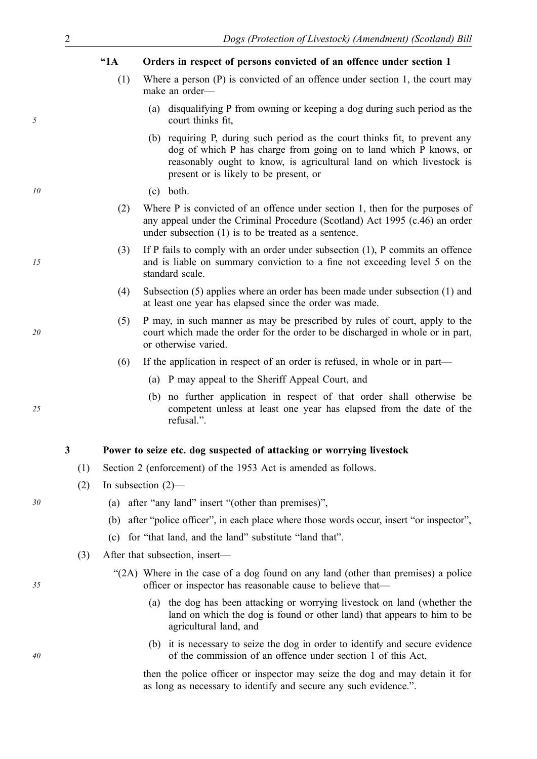#### **"1A Orders in respect of persons convicted of an offence under section 1**

- Where a person (P) is convicted of an offence under section 1, the court may make an order— (1)
	- (a) disqualifying P from owning or keeping a dog during such period as the court thinks fit,
	- (b) requiring P, during such period as the court thinks fit, to prevent any dog of which P has charge from going on to land which P knows, or reasonably ought to know, is agricultural land on which livestock is present or is likely to be present, or
- *10* (c) both.
	- (2) Where P is convicted of an offence under section 1, then for the purposes of any appeal under the Criminal Procedure (Scotland) Act 1995 (c.46) an order under subsection (1) is to be treated as a sentence.
	- (3) If P fails to comply with an order under subsection (1), P commits an offence and is liable on summary conviction to a fine not exceeding level 5 on the standard scale.
		- (4) Subsection (5) applies where an order has been made under subsection (1) and at least one year has elapsed since the order was made.
		- (5) P may, in such manner as may be prescribed by rules of court, apply to the court which made the order for the order to be discharged in whole or in part, or otherwise varied.
		- (6) If the application in respect of an order is refused, in whole or in part—
			- (a) P may appeal to the Sheriff Appeal Court, and
			- (b) no further application in respect of that order shall otherwise be competent unless at least one year has elapsed from the date of the refusal.".

#### **3 Power to seize etc. dog suspected of attacking or worrying livestock**

- (1) Section 2 (enforcement) of the 1953 Act is amended as follows.
- (2) In subsection (2)—
- *30* (a) after "any land" insert "(other than premises)",
	- (b) after "police officer", in each place where those words occur, insert "or inspector",
	- (c) for "that land, and the land" substitute "land that".
	- (3) After that subsection, insert—
		- "(2A) Where in the case of a dog found on any land (other than premises) a police officer or inspector has reasonable cause to believe that—
			- (a) the dog has been attacking or worrying livestock on land (whether the land on which the dog is found or other land) that appears to him to be agricultural land, and
			- (b) it is necessary to seize the dog in order to identify and secure evidence of the commission of an offence under section 1 of this Act,

then the police officer or inspector may seize the dog and may detain it for as long as necessary to identify and secure any such evidence.".

*5* 

*15* 

*20* 

*25* 

*40*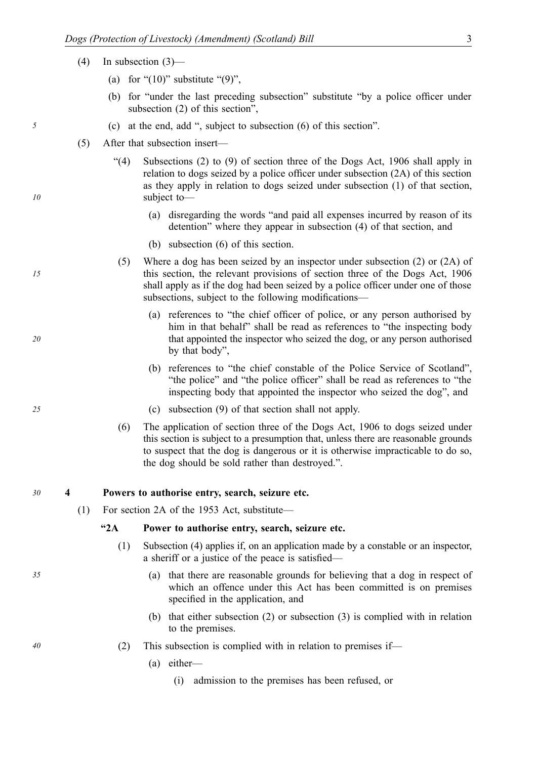- (4) In subsection (3)—
	- (a) for " $(10)$ " substitute " $(9)$ ",
	- (b) for "under the last preceding subsection" substitute "by a police officer under subsection (2) of this section",
- *5* (c) at the end, add ", subject to subsection (6) of this section".
	- (5) After that subsection insert—
		- "(4) Subsections (2) to (9) of section three of the Dogs Act, 1906 shall apply in relation to dogs seized by a police officer under subsection (2A) of this section as they apply in relation to dogs seized under subsection (1) of that section, subject to—
			- (a) disregarding the words "and paid all expenses incurred by reason of its detention" where they appear in subsection (4) of that section, and
			- (b) subsection (6) of this section.
		- (5) Where a dog has been seized by an inspector under subsection (2) or (2A) of this section, the relevant provisions of section three of the Dogs Act, 1906 shall apply as if the dog had been seized by a police officer under one of those subsections, subject to the following modifications—
			- (a) references to "the chief officer of police, or any person authorised by him in that behalf" shall be read as references to "the inspecting body that appointed the inspector who seized the dog, or any person authorised by that body",
			- (b) references to "the chief constable of the Police Service of Scotland", "the police" and "the police officer" shall be read as references to "the inspecting body that appointed the inspector who seized the dog", and
- *25* (c) subsection (9) of that section shall not apply.
	- (6) The application of section three of the Dogs Act, 1906 to dogs seized under this section is subject to a presumption that, unless there are reasonable grounds to suspect that the dog is dangerous or it is otherwise impracticable to do so, the dog should be sold rather than destroyed.".

#### *30* **4 Powers to authorise entry, search, seizure etc.**

(1) For section 2A of the 1953 Act, substitute—

#### **"2A Power to authorise entry, search, seizure etc.**

- (1) Subsection (4) applies if, on an application made by a constable or an inspector, a sheriff or a justice of the peace is satisfied—
- *35* (a) that there are reasonable grounds for believing that a dog in respect of which an offence under this Act has been committed is on premises specified in the application, and
	- (b) that either subsection (2) or subsection (3) is complied with in relation to the premises.
- *40* (2) This subsection is complied with in relation to premises if—
	- (a) either—
		- (i) admission to the premises has been refused, or

*10* 

*15*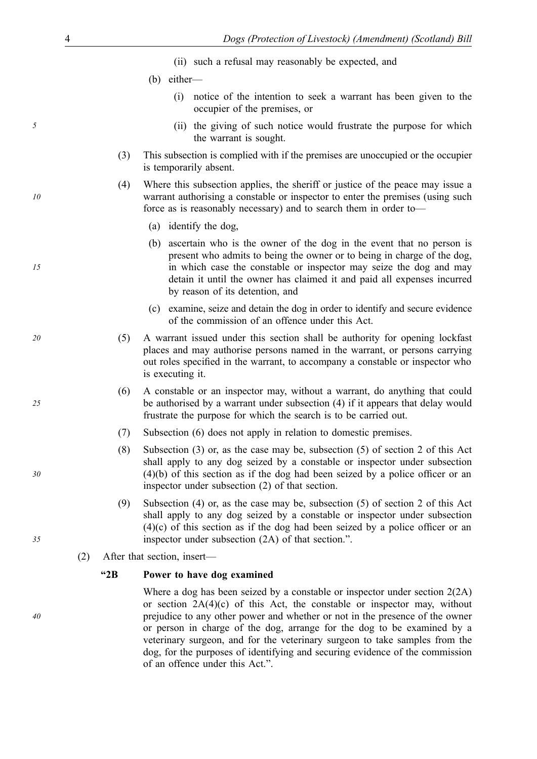- (ii) such a refusal may reasonably be expected, and
- (b) either—
	- (i) notice of the intention to seek a warrant has been given to the occupier of the premises, or
- *5* (ii) the giving of such notice would frustrate the purpose for which the warrant is sought.
	- (3) This subsection is complied with if the premises are unoccupied or the occupier is temporarily absent.
	- (4) Where this subsection applies, the sheriff or justice of the peace may issue a warrant authorising a constable or inspector to enter the premises (using such force as is reasonably necessary) and to search them in order to—
		- (a) identify the dog,
		- (b) ascertain who is the owner of the dog in the event that no person is present who admits to being the owner or to being in charge of the dog, in which case the constable or inspector may seize the dog and may detain it until the owner has claimed it and paid all expenses incurred by reason of its detention, and
		- (c) examine, seize and detain the dog in order to identify and secure evidence of the commission of an offence under this Act.
- *20* (5) A warrant issued under this section shall be authority for opening lockfast places and may authorise persons named in the warrant, or persons carrying out roles specified in the warrant, to accompany a constable or inspector who is executing it.
	- (6) A constable or an inspector may, without a warrant, do anything that could be authorised by a warrant under subsection (4) if it appears that delay would frustrate the purpose for which the search is to be carried out.
	- (7) Subsection (6) does not apply in relation to domestic premises.
	- (8) Subsection (3) or, as the case may be, subsection (5) of section 2 of this Act shall apply to any dog seized by a constable or inspector under subsection (4)(b) of this section as if the dog had been seized by a police officer or an inspector under subsection (2) of that section.
	- (9) Subsection (4) or, as the case may be, subsection (5) of section 2 of this Act shall apply to any dog seized by a constable or inspector under subsection (4)(c) of this section as if the dog had been seized by a police officer or an inspector under subsection (2A) of that section.".
	- (2) After that section, insert—

#### **"2B Power to have dog examined**

Where a dog has been seized by a constable or inspector under section 2(2A) or section  $2A(4)(c)$  of this Act, the constable or inspector may, without prejudice to any other power and whether or not in the presence of the owner or person in charge of the dog, arrange for the dog to be examined by a veterinary surgeon, and for the veterinary surgeon to take samples from the dog, for the purposes of identifying and securing evidence of the commission of an offence under this Act.".

*10* 

*15* 

*25* 

*30* 

*40*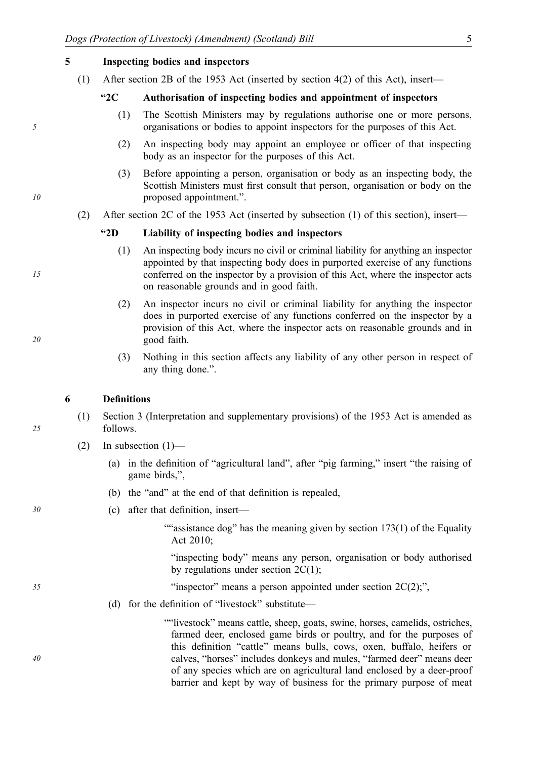#### **5 Inspecting bodies and inspectors**

(1) After section 2B of the 1953 Act (inserted by section 4(2) of this Act), insert—

#### **"2C Authorisation of inspecting bodies and appointment of inspectors**

- (1) The Scottish Ministers may by regulations authorise one or more persons, organisations or bodies to appoint inspectors for the purposes of this Act.
- (2) An inspecting body may appoint an employee or officer of that inspecting body as an inspector for the purposes of this Act.
- (3) Before appointing a person, organisation or body as an inspecting body, the Scottish Ministers must first consult that person, organisation or body on the proposed appointment.".
- (2) After section 2C of the 1953 Act (inserted by subsection (1) of this section), insert—

#### **"2D Liability of inspecting bodies and inspectors**

- (1) An inspecting body incurs no civil or criminal liability for anything an inspector appointed by that inspecting body does in purported exercise of any functions conferred on the inspector by a provision of this Act, where the inspector acts on reasonable grounds and in good faith.
- (2) An inspector incurs no civil or criminal liability for anything the inspector does in purported exercise of any functions conferred on the inspector by a provision of this Act, where the inspector acts on reasonable grounds and in good faith.
- (3) Nothing in this section affects any liability of any other person in respect of any thing done.".

#### **6 Definitions**

- (1) Section 3 (Interpretation and supplementary provisions) of the 1953 Act is amended as follows.
- (2) In subsection  $(1)$ 
	- (a) in the definition of "agricultural land", after "pig farming," insert "the raising of game birds,",
	- (b) the "and" at the end of that definition is repealed,

#### *30* (c) after that definition, insert—

""assistance dog" has the meaning given by section  $173(1)$  of the Equality Act 2010;

"inspecting body" means any person, organisation or body authorised by regulations under section  $2C(1)$ ;

- *35* "inspector" means a person appointed under section 2C(2);",
	- (d) for the definition of "livestock" substitute—

""livestock" means cattle, sheep, goats, swine, horses, camelids, ostriches, farmed deer, enclosed game birds or poultry, and for the purposes of this definition "cattle" means bulls, cows, oxen, buffalo, heifers or calves, "horses" includes donkeys and mules, "farmed deer" means deer of any species which are on agricultural land enclosed by a deer-proof barrier and kept by way of business for the primary purpose of meat

*25* 

*5* 

*10* 

*15* 

*20*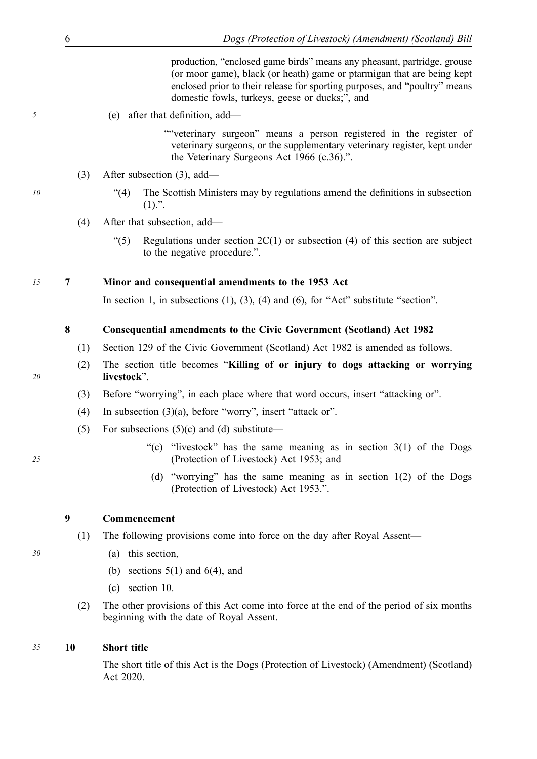production, "enclosed game birds" means any pheasant, partridge, grouse (or moor game), black (or heath) game or ptarmigan that are being kept enclosed prior to their release for sporting purposes, and "poultry" means domestic fowls, turkeys, geese or ducks;", and

*5* (e) after that definition, add—

""veterinary surgeon" means a person registered in the register of veterinary surgeons, or the supplementary veterinary register, kept under the Veterinary Surgeons Act 1966 (c.36).".

- (3) After subsection (3), add—
- *10* "(4) The Scottish Ministers may by regulations amend the definitions in subsection  $(1).$ ".
	- (4) After that subsection, add—
		- "(5) Regulations under section  $2C(1)$  or subsection (4) of this section are subject to the negative procedure.".

### *15* **7 Minor and consequential amendments to the 1953 Act**

In section 1, in subsections  $(1)$ ,  $(3)$ ,  $(4)$  and  $(6)$ , for "Act" substitute "section".

### **8 Consequential amendments to the Civic Government (Scotland) Act 1982**

- (1) Section 129 of the Civic Government (Scotland) Act 1982 is amended as follows.
- (2) The section title becomes "**Killing of or injury to dogs attacking or worrying livestock**".
- (3) Before "worrying", in each place where that word occurs, insert "attacking or".
- (4) In subsection (3)(a), before "worry", insert "attack or".
- (5) For subsections  $(5)(c)$  and (d) substitute—
	- "(c) "livestock" has the same meaning as in section  $3(1)$  of the Dogs (Protection of Livestock) Act 1953; and
	- (d) "worrying" has the same meaning as in section 1(2) of the Dogs (Protection of Livestock) Act 1953.".

### **9 Commencement**

- (1) The following provisions come into force on the day after Royal Assent—
- *30* (a) this section,
	- (b) sections  $5(1)$  and  $6(4)$ , and
	- (c) section 10.
	- (2) The other provisions of this Act come into force at the end of the period of six months beginning with the date of Royal Assent.

## *35* **10 Short title**

The short title of this Act is the Dogs (Protection of Livestock) (Amendment) (Scotland) Act 2020.

*25*